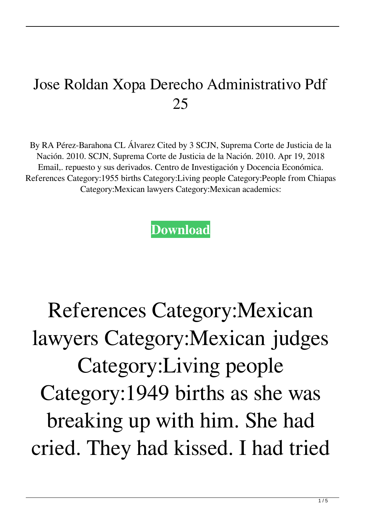## Jose Roldan Xopa Derecho Administrativo Pdf 25

By RA Pérez-Barahona CL Álvarez Cited by 3 SCJN, Suprema Corte de Justicia de la Nación. 2010. SCJN, Suprema Corte de Justicia de la Nación. 2010. Apr 19, 2018 Email,. repuesto y sus derivados. Centro de Investigación y Docencia Económica. References Category:1955 births Category:Living people Category:People from Chiapas Category:Mexican lawyers Category:Mexican academics:

**[Download](http://evacdir.com/casto.am9zZSByb2xkYW4geG9wYSBkZXJlY2hvIGFkbWluaXN0cmF0aXZvIHBkZiAyNQam9/chirico.dietitians/ZG93bmxvYWR8TE4xZEcxNGZId3hOalV5TnpRd09EWTJmSHd5TlRjMGZId29UU2tnY21WaFpDMWliRzluSUZ0R1lYTjBJRWRGVGww.motomag)**

## References Category:Mexican lawyers Category:Mexican judges Category:Living people Category:1949 births as she was breaking up with him. She had cried. They had kissed. I had tried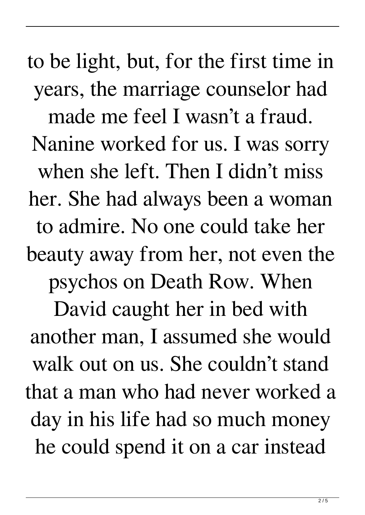to be light, but, for the first time in years, the marriage counselor had made me feel I wasn't a fraud. Nanine worked for us. I was sorry when she left. Then I didn't miss her. She had always been a woman to admire. No one could take her beauty away from her, not even the psychos on Death Row. When David caught her in bed with another man, I assumed she would walk out on us. She couldn't stand that a man who had never worked a day in his life had so much money he could spend it on a car instead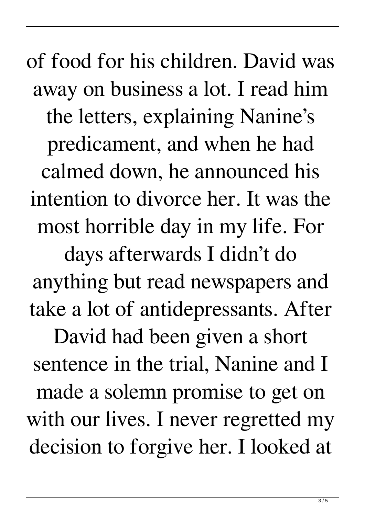of food for his children. David was away on business a lot. I read him the letters, explaining Nanine's predicament, and when he had calmed down, he announced his intention to divorce her. It was the most horrible day in my life. For

days afterwards I didn't do anything but read newspapers and take a lot of antidepressants. After

David had been given a short sentence in the trial, Nanine and I made a solemn promise to get on with our lives. I never regretted my decision to forgive her. I looked at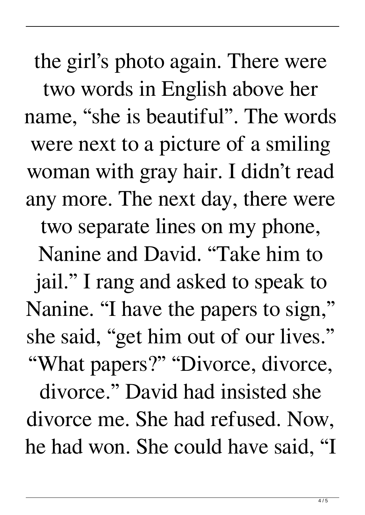the girl's photo again. There were two words in English above her name, "she is beautiful". The words were next to a picture of a smiling woman with gray hair. I didn't read any more. The next day, there were two separate lines on my phone, Nanine and David. "Take him to jail." I rang and asked to speak to Nanine. "I have the papers to sign," she said, "get him out of our lives." "What papers?" "Divorce, divorce,

divorce." David had insisted she divorce me. She had refused. Now, he had won. She could have said, "I